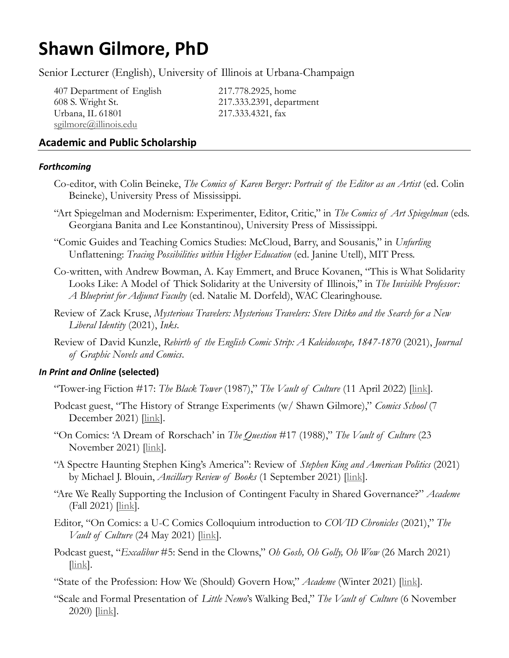# **Shawn Gilmore, PhD**

Senior Lecturer (English), University of Illinois at Urbana-Champaign

407 Department of English 217.778.2925, home 608 S. Wright St. 217.333.2391, department Urbana, IL 61801 217.333.4321, fax [sgilmore@illinois.edu](mailto:sgilmore@illinois.edu)

# **Academic and Public Scholarship**

## *Forthcoming*

- Co-editor, with Colin Beineke, *The Comics of Karen Berger: Portrait of the Editor as an Artist* (ed. Colin Beineke), University Press of Mississippi.
- "Art Spiegelman and Modernism: Experimenter, Editor, Critic," in *The Comics of Art Spiegelman* (eds. Georgiana Banita and Lee Konstantinou), University Press of Mississippi.
- "Comic Guides and Teaching Comics Studies: McCloud, Barry, and Sousanis," in *Unfurling*  Unflattening: *Tracing Possibilities within Higher Education* (ed. Janine Utell), MIT Press.
- Co-written, with Andrew Bowman, A. Kay Emmert, and Bruce Kovanen, "This is What Solidarity Looks Like: A Model of Thick Solidarity at the University of Illinois," in *The Invisible Professor: A Blueprint for Adjunct Faculty* (ed. Natalie M. Dorfeld), WAC Clearinghouse.
- Review of Zack Kruse, *Mysterious Travelers: Mysterious Travelers: Steve Ditko and the Search for a New Liberal Identity* (2021), *Inks*.
- Review of David Kunzle, *Rebirth of the English Comic Strip: A Kaleidoscope, 1847-1870* (2021), *Journal of Graphic Novels and Comics*.

## *In Print and Online* **(selected)**

"Tower-ing Fiction #17: *The Black Tower* (1987)," *The Vault of Culture* (11 April 2022) [\[link\]](https://www.vaultofculture.com/vault/towering/blacktower).

- Podcast guest, "The History of Strange Experiments (w/ Shawn Gilmore)," *Comics School* (7 December 2021) [\[link\]](https://comixschool.podbean.com/e/s3e6-w-shawn-gilmore/).
- "On Comics: 'A Dream of Rorschach' in *The Question* #17 (1988)," *The Vault of Culture* (23 November 2021) [\[link\]](https://www.vaultofculture.com/vault/oncomics/questionrorschach).
- "A Spectre Haunting Stephen King's America": Review of *Stephen King and American Politics* (2021) by Michael J. Blouin, *Ancillary Review of Books* (1 September 2021) [\[link\]](https://ancillaryreviewofbooks.org/2021/09/01/a-spectre-haunting-stephen-kings-america-review-of-stephen-king-and-american-politics-by-michael-j-blouin/).
- "Are We Really Supporting the Inclusion of Contingent Faculty in Shared Governance?" *Academe* (Fall 2021) [\[link\]](https://www.aaup.org/article/are-we-really-supporting-inclusion-contingent-faculty-governance#.YYCDyhdOklQ).
- Editor, "On Comics: a U-C Comics Colloquium introduction to *COVID Chronicles* (2021)," *The Vault of Culture* (24 May 2021) [*link*].
- Podcast guest, "*Excalibur* #5: Send in the Clowns," *Oh Gosh, Oh Golly, Oh Wow* (26 March 2021) [\[link\]](https://goshgollywow.com/f/excalibur-5-send-in-the-clowns).
- "State of the Profession: How We (Should) Govern How," *Academe* (Winter 2021) [\[link\]](https://www.aaup.org/article/state-profession-how-we-should-govern-now?fbclid=IwAR0RcSobvN7UlrBvmcVb-lnTN-YlfCqxcl4eo92LmD13UHnNzJMHewMZuQ0#.YCMx-7tOIlQ).
- "Scale and Formal Presentation of *Little Nemo*'s Walking Bed," *The Vault of Culture* (6 November  $2020$ )  $\frac{\text{link}}{\text{link}}$ .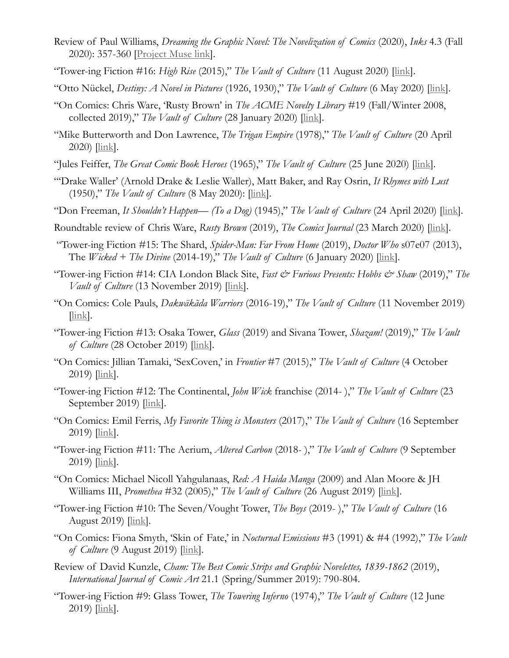- Review of Paul Williams, *Dreaming the Graphic Novel: The Novelization of Comics* (2020), *Inks* 4.3 (Fall 2020): 357-360 [\[Project Muse link\]](https://muse.jhu.edu/article/776427).
- "Tower-ing Fiction #16: *High Rise* (2015)," *The Vault of Culture* (11 August 2020) [\[link\]](https://www.vaultofculture.com/vault/towering/highrise).
- "Otto Nückel, *Destiny: A Novel in Pictures* (1926, 1930)," *The Vault of Culture* (6 May 2020) [\[link\]](https://www.vaultofculture.com/vault/graphicnovels/destiny).
- "On Comics: Chris Ware, 'Rusty Brown' in *The ACME Novelty Library* #19 (Fall/Winter 2008, collected 2019)," *The Vault of Culture* (28 January 2020) [*link*].
- "Mike Butterworth and Don Lawrence, *The Trigan Empire* (1978)," *The Vault of Culture* (20 April  $2020$ )  $\frac{\text{link}}{\text{link}}$ .
- "Jules Feiffer, *The Great Comic Book Heroes* (1965)," *The Vault of Culture* (25 June 2020) [\[link\]](https://www.vaultofculture.com/vault/graphicnovels/greatcomicbookheroes).
- "'Drake Waller' (Arnold Drake & Leslie Waller), Matt Baker, and Ray Osrin, *It Rhymes with Lust* (1950)," *The Vault of Culture* (8 May 2020): [\[link\]](https://www.vaultofculture.com/vault/graphicnovels/itrhymeswithlust).
- "Don Freeman, *It Shouldn't Happen— (To a Dog)* (1945)," *The Vault of Culture* (24 April 2020) [\[link\]](https://www.vaultofculture.com/vault/graphicnovels/itshouldnthappen).
- Roundtable review of Chris Ware, *Rusty Brown* (2019), *The Comics Journal* (23 March 2020) [\[link\]](http://www.tcj.com/a-diary-of-time-itself-an-academic-roundtable-on-chris-wares-rusty-brown/).
- "Tower-ing Fiction #15: The Shard, *Spider-Man: Far From Home* (2019), *Doctor Who* s07e07 (2013), The *Wicked + The Divine* (2014-19)," *The Vault of Culture* (6 January 2020) [\[link\]](https://www.vaultofculture.com/vault/towering/shard).
- "Tower-ing Fiction #14: CIA London Black Site, *Fast & Furious Presents: Hobbs & Shaw* (2019)," *The Vault of Culture* (13 November 2019) [\[link\]](https://www.vaultofculture.com/vault/towering/cialondon).
- "On Comics: Cole Pauls, *Dakwäkãda Warriors* (2016-19)," *The Vault of Culture* (11 November 2019) [\[link\]](https://www.vaultofculture.com/vault/oncomics/paulsdakwakada).
- "Tower-ing Fiction #13: Osaka Tower, *Glass* (2019) and Sivana Tower, *Shazam!* (2019)," *The Vault of Culture* (28 October 2019) [\[link\]](https://www.vaultofculture.com/vault/towering/osakasivana).
- "On Comics: Jillian Tamaki, 'SexCoven,' in *Frontier* #7 (2015)," *The Vault of Culture* (4 October  $2019$   $\frac{[\text{link}]}{[\text{link}]}$ .
- "Tower-ing Fiction #12: The Continental, *John Wick* franchise (2014- )," *The Vault of Culture* (23 September 2019)  $[\underline{\text{link}}]$ .
- "On Comics: Emil Ferris, *My Favorite Thing is Monsters* (2017)," *The Vault of Culture* (16 September  $2019$   $\frac{[\text{link}]}{[\text{link}]}$ .
- "Tower-ing Fiction #11: The Aerium, *Altered Carbon* (2018- )," *The Vault of Culture* (9 September  $2019$   $\frac{[\text{link}]}{[\text{link}]}$ .
- "On Comics: Michael Nicoll Yahgulanaas, *Red: A Haida Manga* (2009) and Alan Moore & JH Williams III, *Promethea* #32 (2005)," *The Vault of Culture* (26 August 2019) [\[link\]](https://www.vaultofculture.com/vault/oncomics/yahgulanaasmoore).
- "Tower-ing Fiction #10: The Seven/Vought Tower, *The Boys* (2019- )," *The Vault of Culture* (16 August 2019)  $\left| \frac{\text{link}}{\text{link}} \right|$ .
- "On Comics: Fiona Smyth, 'Skin of Fate,' in *Nocturnal Emissions* #3 (1991) & #4 (1992)," *The Vault of Culture* (9 August 2019) [\[link\]](https://www.vaultofculture.com/vault/oncomics/smythskinoffate).
- Review of David Kunzle, *Cham: The Best Comic Strips and Graphic Novelettes, 1839-1862* (2019), *International Journal of Comic Art* 21.1 (Spring/Summer 2019): 790-804.
- "Tower-ing Fiction #9: Glass Tower, *The Towering Inferno* (1974)," *The Vault of Culture* (12 June  $2019$   $\frac{[\text{link}]}{[\text{link}]}$ .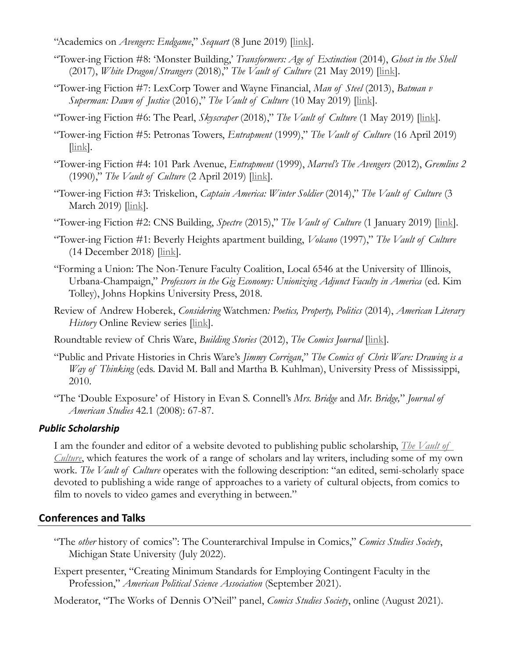- "Academics on *Avengers: Endgame*," *Sequart* (8 June 2019) [\[link\]](http://sequart.org/magazine/69827/academics-on-avengers-endgame-part-2/).
- "Tower-ing Fiction #8: 'Monster Building,' *Transformers: Age of Extinction* (2014), *Ghost in the Shell* (2017), *White Dragon/Strangers* (2018)," *The Vault of Culture* (21 May 2019) [\[link\]](https://www.vaultofculture.com/vault/towering/monsterbuilding).
- "Tower-ing Fiction #7: LexCorp Tower and Wayne Financial, *Man of Steel* (2013), *Batman v Superman: Dawn of Justice* (2016)," *The Vault of Culture* (10 May 2019) *[\[link\]](https://www.vaultofculture.com/vault/towering/lexcorpwayne)*.
- "Tower-ing Fiction #6: The Pearl, *Skyscraper* (2018)," *The Vault of Culture* (1 May 2019) [\[link\]](https://www.vaultofculture.com/vault/towering/pearl).
- "Tower-ing Fiction #5: Petronas Towers, *Entrapment* (1999)," *The Vault of Culture* (16 April 2019)  $[\underline{link}]$ .
- "Tower-ing Fiction #4: 101 Park Avenue, *Entrapment* (1999), *Marvel's The Avengers* (2012), *Gremlins 2* (1990)," *The Vault of Culture* (2 April 2019) [\[link\]](https://www.vaultofculture.com/vault/towering/101parkave).
- "Tower-ing Fiction #3: Triskelion, *Captain America: Winter Soldier* (2014)," *The Vault of Culture* (3 March 2019) [\[link\]](https://www.vaultofculture.com/vault/towering/triskelion).
- "Tower-ing Fiction #2: CNS Building, *Spectre* (2015)," *The Vault of Culture* (1 January 2019) [\[link\]](https://www.vaultofculture.com/vault/towering/cnsbuilding).
- "Tower-ing Fiction #1: Beverly Heights apartment building, *Volcano* (1997)," *The Vault of Culture* (14 December 2018) [\[link\]](https://www.vaultofculture.com/vault/towering/beverlyheights).
- "Forming a Union: The Non-Tenure Faculty Coalition, Local 6546 at the University of Illinois, Urbana-Champaign," *Professors in the Gig Economy: Unionizing Adjunct Faculty in America* (ed. Kim Tolley), Johns Hopkins University Press, 2018.
- Review of Andrew Hoberek, *Considering* Watchmen*: Poetics, Property, Politics* (2014), *American Literary History* Online Review series [\[link\]](http://oxfordjournals.org/our_journals/alhist/shawn%20gilmore%20online%20review%20vii.pdf).
- Roundtable review of Chris Ware, *Building Stories* (2012), *The Comics Journal* [\[link\]](http://www.tcj.com/formal-disruption-and-narrative-progress-in-building-stories/).
- "Public and Private Histories in Chris Ware's *Jimmy Corrigan*," *The Comics of Chris Ware: Drawing is a Way of Thinking* (eds. David M. Ball and Martha B. Kuhlman), University Press of Mississippi, 2010.
- "The 'Double Exposure' of History in Evan S. Connell's *Mrs. Bridge* and *Mr. Bridge,*" *Journal of American Studies* 42.1 (2008): 67-87.

#### *Public Scholarship*

I am the founder and editor of a website devoted to publishing public scholarship, *[The Vault of](https://www.vaultofculture.com/)  [Culture](https://www.vaultofculture.com/)*, which features the work of a range of scholars and lay writers, including some of my own work. *The Vault of Culture* operates with the following description: "an edited, semi-scholarly space devoted to publishing a wide range of approaches to a variety of cultural objects, from comics to film to novels to video games and everything in between."

#### **Conferences and Talks**

- "The *other* history of comics": The Counterarchival Impulse in Comics," *Comics Studies Society*, Michigan State University (July 2022).
- Expert presenter, "Creating Minimum Standards for Employing Contingent Faculty in the Profession," *American Political Science Association* (September 2021).

Moderator, "The Works of Dennis O'Neil" panel, *Comics Studies Society*, online (August 2021).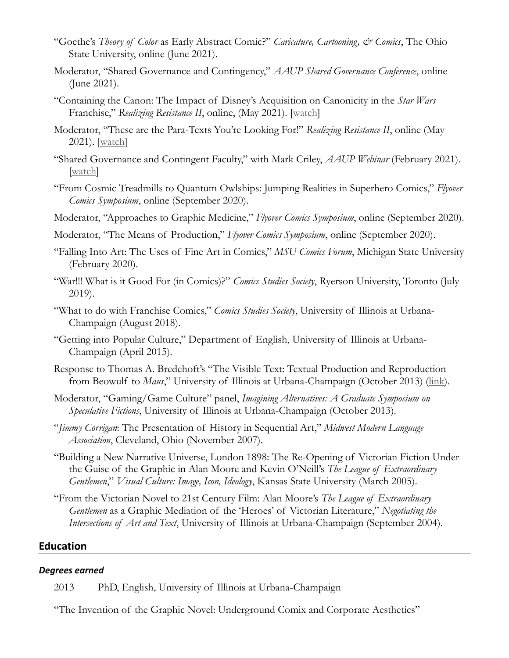- "Goethe's *Theory of Color* as Early Abstract Comic?" *Caricature, Cartooning, & Comics*, The Ohio State University, online (June 2021).
- Moderator, "Shared Governance and Contingency," *AAUP Shared Governance Conference*, online (June 2021).
- "Containing the Canon: The Impact of Disney's Acquisition on Canonicity in the *Star Wars* Franchise," *Realizing Resistance II*, online, (May 2021). [\[watch\]](https://mediaspace.illinois.edu/media/t/1_wz4x9e4f/212073003)
- Moderator, "These are the Para-Texts You're Looking For!" *Realizing Resistance II*, online (May 2021). [\[watch\]](https://mediaspace.illinois.edu/media/t/1_9w5umxk9/212073003)
- "Shared Governance and Contingent Faculty," with Mark Criley, *AAUP Webinar* (February 2021). watch]
- "From Cosmic Treadmills to Quantum Owlships: Jumping Realities in Superhero Comics," *Flyover Comics Symposium*, online (September 2020).
- Moderator, "Approaches to Graphic Medicine," *Flyover Comics Symposium*, online (September 2020).
- Moderator, "The Means of Production," *Flyover Comics Symposium*, online (September 2020).
- "Falling Into Art: The Uses of Fine Art in Comics," *MSU Comics Forum*, Michigan State University (February 2020).
- "War!!! What is it Good For (in Comics)?" *Comics Studies Society*, Ryerson University, Toronto (July 2019).
- "What to do with Franchise Comics," *Comics Studies Society*, University of Illinois at Urbana-Champaign (August 2018).
- "Getting into Popular Culture," Department of English, University of Illinois at Urbana-Champaign (April 2015).
- Response to Thomas A. Bredehoft's "The Visible Text: Textual Production and Reproduction from Beowulf to *Maus*," University of Illinois at Urbana-Champaign (October 2013) [\(link\)](http://unitcrit.blogspot.com/2013/10/authors-roundtable-thomas-bredehoft_29.html).
- Moderator, "Gaming/Game Culture" panel, *Imagining Alternatives: A Graduate Symposium on Speculative Fictions*, University of Illinois at Urbana-Champaign (October 2013).
- "*Jimmy Corrigan*: The Presentation of History in Sequential Art," *Midwest Modern Language Association*, Cleveland, Ohio (November 2007).
- "Building a New Narrative Universe, London 1898: The Re-Opening of Victorian Fiction Under the Guise of the Graphic in Alan Moore and Kevin O'Neill's *The League of Extraordinary Gentlemen*," *Visual Culture: Image, Icon, Ideology*, Kansas State University (March 2005).
- "From the Victorian Novel to 21st Century Film: Alan Moore's *The League of Extraordinary Gentlemen* as a Graphic Mediation of the 'Heroes' of Victorian Literature," *Negotiating the Intersections of Art and Text*, University of Illinois at Urbana-Champaign (September 2004).

## **Education**

#### *Degrees earned*

2013 PhD, English, University of Illinois at Urbana-Champaign

"The Invention of the Graphic Novel: Underground Comix and Corporate Aesthetics"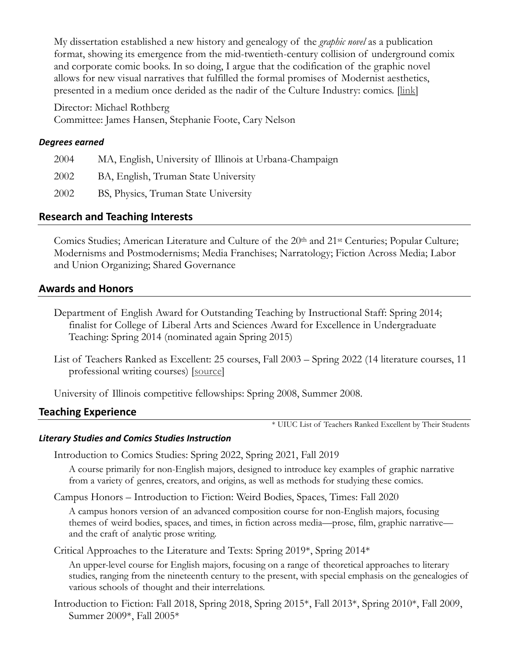My dissertation established a new history and genealogy of the *graphic novel* as a publication format, showing its emergence from the mid-twentieth-century collision of underground comix and corporate comic books. In so doing, I argue that the codification of the graphic novel allows for new visual narratives that fulfilled the formal promises of Modernist aesthetics, presented in a medium once derided as the nadir of the Culture Industry: comics. [\[link\]](http://hdl.handle.net/2142/45661)

Director: Michael Rothberg Committee: James Hansen, Stephanie Foote, Cary Nelson

#### *Degrees earned*

| 2004 | MA, English, University of Illinois at Urbana-Champaign |
|------|---------------------------------------------------------|
| 2002 | BA, English, Truman State University                    |
| 2002 | BS, Physics, Truman State University                    |

## **Research and Teaching Interests**

Comics Studies; American Literature and Culture of the 20<sup>th</sup> and 21<sup>st</sup> Centuries; Popular Culture; Modernisms and Postmodernisms; Media Franchises; Narratology; Fiction Across Media; Labor and Union Organizing; Shared Governance

## **Awards and Honors**

- Department of English Award for Outstanding Teaching by Instructional Staff: Spring 2014; finalist for College of Liberal Arts and Sciences Award for Excellence in Undergraduate Teaching: Spring 2014 (nominated again Spring 2015)
- List of Teachers Ranked as Excellent: 25 courses, Fall 2003 Spring 2022 (14 literature courses, 11 professional writing courses) [\[source\]](https://citl.illinois.edu/citl-101/measurement-evaluation/teaching-evaluation/teaching-evaluations-(ices)/teachers-ranked-as-excellent)

University of Illinois competitive fellowships: Spring 2008, Summer 2008.

## **Teaching Experience**

\* UIUC List of Teachers Ranked Excellent by Their Students

#### *Literary Studies and Comics Studies Instruction*

Introduction to Comics Studies: Spring 2022, Spring 2021, Fall 2019

A course primarily for non-English majors, designed to introduce key examples of graphic narrative from a variety of genres, creators, and origins, as well as methods for studying these comics.

Campus Honors – Introduction to Fiction: Weird Bodies, Spaces, Times: Fall 2020

A campus honors version of an advanced composition course for non-English majors, focusing themes of weird bodies, spaces, and times, in fiction across media—prose, film, graphic narrative and the craft of analytic prose writing.

Critical Approaches to the Literature and Texts: Spring 2019\*, Spring 2014\*

An upper-level course for English majors, focusing on a range of theoretical approaches to literary studies, ranging from the nineteenth century to the present, with special emphasis on the genealogies of various schools of thought and their interrelations.

Introduction to Fiction: Fall 2018, Spring 2018, Spring 2015\*, Fall 2013\*, Spring 2010\*, Fall 2009, Summer 2009\*, Fall 2005\*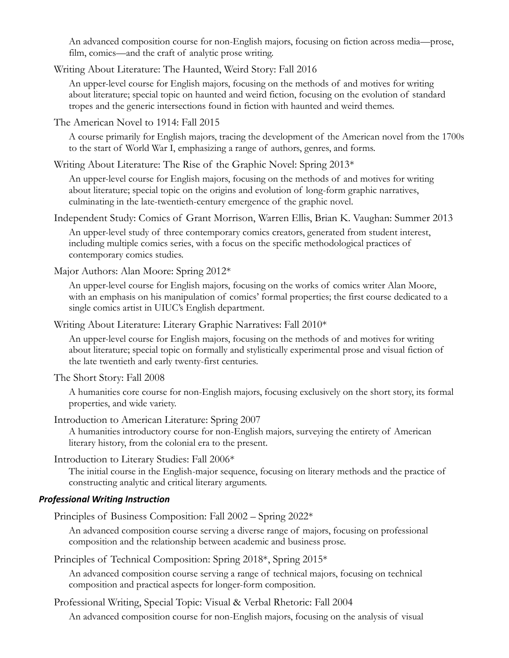An advanced composition course for non-English majors, focusing on fiction across media—prose, film, comics—and the craft of analytic prose writing.

Writing About Literature: The Haunted, Weird Story: Fall 2016

An upper-level course for English majors, focusing on the methods of and motives for writing about literature; special topic on haunted and weird fiction, focusing on the evolution of standard tropes and the generic intersections found in fiction with haunted and weird themes.

The American Novel to 1914: Fall 2015

A course primarily for English majors, tracing the development of the American novel from the 1700s to the start of World War I, emphasizing a range of authors, genres, and forms.

Writing About Literature: The Rise of the Graphic Novel: Spring 2013\*

An upper-level course for English majors, focusing on the methods of and motives for writing about literature; special topic on the origins and evolution of long-form graphic narratives, culminating in the late-twentieth-century emergence of the graphic novel.

Independent Study: Comics of Grant Morrison, Warren Ellis, Brian K. Vaughan: Summer 2013

An upper-level study of three contemporary comics creators, generated from student interest, including multiple comics series, with a focus on the specific methodological practices of contemporary comics studies.

Major Authors: Alan Moore: Spring 2012\*

An upper-level course for English majors, focusing on the works of comics writer Alan Moore, with an emphasis on his manipulation of comics' formal properties; the first course dedicated to a single comics artist in UIUC's English department.

Writing About Literature: Literary Graphic Narratives: Fall 2010\*

An upper-level course for English majors, focusing on the methods of and motives for writing about literature; special topic on formally and stylistically experimental prose and visual fiction of the late twentieth and early twenty-first centuries.

The Short Story: Fall 2008

A humanities core course for non-English majors, focusing exclusively on the short story, its formal properties, and wide variety.

Introduction to American Literature: Spring 2007

A humanities introductory course for non-English majors, surveying the entirety of American literary history, from the colonial era to the present.

Introduction to Literary Studies: Fall 2006\*

The initial course in the English-major sequence, focusing on literary methods and the practice of constructing analytic and critical literary arguments.

#### *Professional Writing Instruction*

Principles of Business Composition: Fall 2002 – Spring 2022\*

An advanced composition course serving a diverse range of majors, focusing on professional composition and the relationship between academic and business prose.

Principles of Technical Composition: Spring 2018\*, Spring 2015\*

An advanced composition course serving a range of technical majors, focusing on technical composition and practical aspects for longer-form composition.

Professional Writing, Special Topic: Visual & Verbal Rhetoric: Fall 2004

An advanced composition course for non-English majors, focusing on the analysis of visual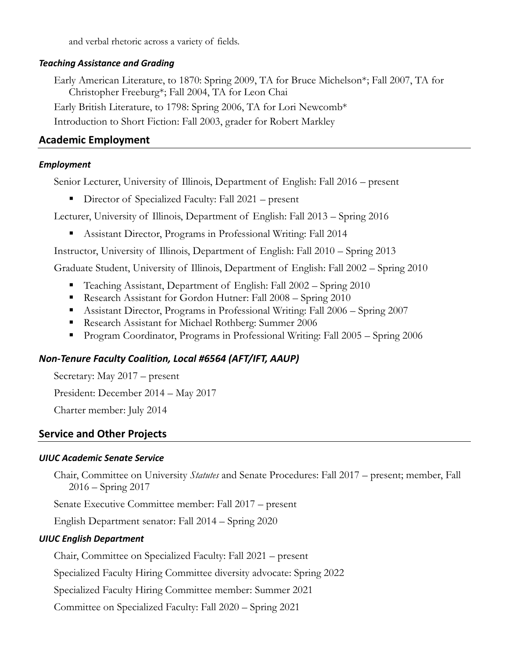and verbal rhetoric across a variety of fields.

#### *Teaching Assistance and Grading*

Early American Literature, to 1870: Spring 2009, TA for Bruce Michelson\*; Fall 2007, TA for Christopher Freeburg\*; Fall 2004, TA for Leon Chai

Early British Literature, to 1798: Spring 2006, TA for Lori Newcomb\*

Introduction to Short Fiction: Fall 2003, grader for Robert Markley

## **Academic Employment**

#### *Employment*

Senior Lecturer, University of Illinois, Department of English: Fall 2016 – present

■ Director of Specialized Faculty: Fall 2021 – present

Lecturer, University of Illinois, Department of English: Fall 2013 – Spring 2016

▪ Assistant Director, Programs in Professional Writing: Fall 2014

Instructor, University of Illinois, Department of English: Fall 2010 – Spring 2013

Graduate Student, University of Illinois, Department of English: Fall 2002 – Spring 2010

- Teaching Assistant, Department of English: Fall 2002 Spring 2010
- **Research Assistant for Gordon Hutner: Fall 2008 Spring 2010**
- Assistant Director, Programs in Professional Writing: Fall 2006 Spring 2007
- Research Assistant for Michael Rothberg: Summer 2006
- Program Coordinator, Programs in Professional Writing: Fall 2005 Spring 2006

## *Non-Tenure Faculty Coalition, Local #6564 (AFT/IFT, AAUP)*

Secretary: May 2017 – present

President: December 2014 – May 2017

Charter member: July 2014

# **Service and Other Projects**

#### *UIUC Academic Senate Service*

Chair, Committee on University *Statutes* and Senate Procedures: Fall 2017 – present; member, Fall 2016 – Spring 2017

Senate Executive Committee member: Fall 2017 – present

English Department senator: Fall 2014 – Spring 2020

## *UIUC English Department*

Chair, Committee on Specialized Faculty: Fall 2021 – present

Specialized Faculty Hiring Committee diversity advocate: Spring 2022

Specialized Faculty Hiring Committee member: Summer 2021

Committee on Specialized Faculty: Fall 2020 – Spring 2021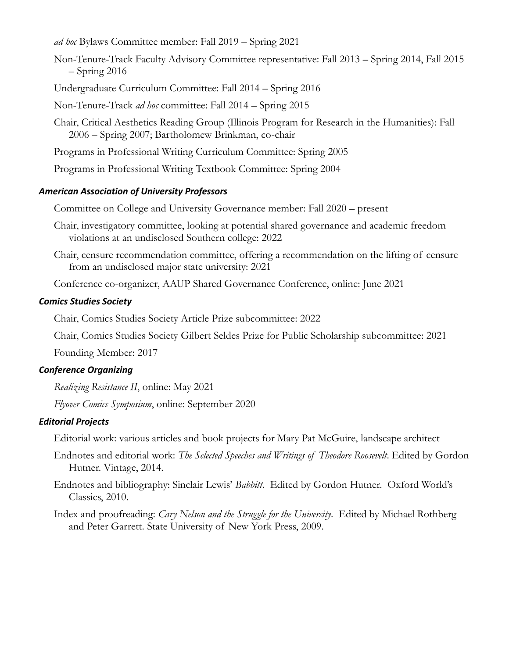*ad hoc* Bylaws Committee member: Fall 2019 – Spring 2021

- Non-Tenure-Track Faculty Advisory Committee representative: Fall 2013 Spring 2014, Fall 2015  $-$  Spring 2016
- Undergraduate Curriculum Committee: Fall 2014 Spring 2016
- Non-Tenure-Track *ad hoc* committee: Fall 2014 Spring 2015
- Chair, Critical Aesthetics Reading Group (Illinois Program for Research in the Humanities): Fall 2006 – Spring 2007; Bartholomew Brinkman, co-chair
- Programs in Professional Writing Curriculum Committee: Spring 2005
- Programs in Professional Writing Textbook Committee: Spring 2004

## *American Association of University Professors*

Committee on College and University Governance member: Fall 2020 – present

- Chair, investigatory committee, looking at potential shared governance and academic freedom violations at an undisclosed Southern college: 2022
- Chair, censure recommendation committee, offering a recommendation on the lifting of censure from an undisclosed major state university: 2021

Conference co-organizer, AAUP Shared Governance Conference, online: June 2021

## *Comics Studies Society*

Chair, Comics Studies Society Article Prize subcommittee: 2022

Chair, Comics Studies Society Gilbert Seldes Prize for Public Scholarship subcommittee: 2021

Founding Member: 2017

# *Conference Organizing*

*Realizing Resistance II*, online: May 2021

*Flyover Comics Symposium*, online: September 2020

## *Editorial Projects*

Editorial work: various articles and book projects for Mary Pat McGuire, landscape architect

- Endnotes and editorial work: *The Selected Speeches and Writings of Theodore Roosevelt*. Edited by Gordon Hutner. Vintage, 2014.
- Endnotes and bibliography: Sinclair Lewis' *Babbitt*. Edited by Gordon Hutner. Oxford World's Classics, 2010.
- Index and proofreading: *Cary Nelson and the Struggle for the University*. Edited by Michael Rothberg and Peter Garrett. State University of New York Press, 2009.